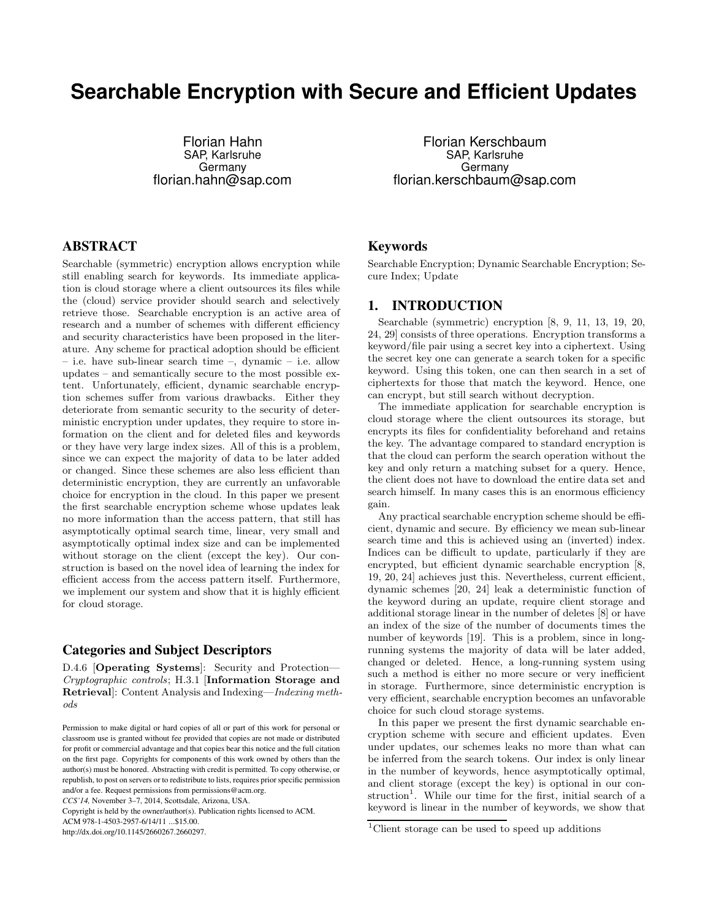# **Searchable Encryption with Secure and Efficient Updates**

Florian Hahn SAP, Karlsruhe Germany florian.hahn@sap.com

# ABSTRACT

Searchable (symmetric) encryption allows encryption while still enabling search for keywords. Its immediate application is cloud storage where a client outsources its files while the (cloud) service provider should search and selectively retrieve those. Searchable encryption is an active area of research and a number of schemes with different efficiency and security characteristics have been proposed in the literature. Any scheme for practical adoption should be efficient – i.e. have sub-linear search time –, dynamic – i.e. allow updates – and semantically secure to the most possible extent. Unfortunately, efficient, dynamic searchable encryption schemes suffer from various drawbacks. Either they deteriorate from semantic security to the security of deterministic encryption under updates, they require to store information on the client and for deleted files and keywords or they have very large index sizes. All of this is a problem, since we can expect the majority of data to be later added or changed. Since these schemes are also less efficient than deterministic encryption, they are currently an unfavorable choice for encryption in the cloud. In this paper we present the first searchable encryption scheme whose updates leak no more information than the access pattern, that still has asymptotically optimal search time, linear, very small and asymptotically optimal index size and can be implemented without storage on the client (except the key). Our construction is based on the novel idea of learning the index for efficient access from the access pattern itself. Furthermore, we implement our system and show that it is highly efficient for cloud storage.

# Categories and Subject Descriptors

D.4.6 [Operating Systems]: Security and Protection— Cryptographic controls; H.3.1 [Information Storage and Retrieval]: Content Analysis and Indexing—Indexing methods

Copyright is held by the owner/author(s). Publication rights licensed to ACM.

ACM 978-1-4503-2957-6/14/11 ...\$15.00.

http://dx.doi.org/10.1145/2660267.2660297.

Florian Kerschbaum SAP, Karlsruhe Germany florian.kerschbaum@sap.com

### Keywords

Searchable Encryption; Dynamic Searchable Encryption; Secure Index; Update

### 1. INTRODUCTION

Searchable (symmetric) encryption [8, 9, 11, 13, 19, 20, 24, 29] consists of three operations. Encryption transforms a keyword/file pair using a secret key into a ciphertext. Using the secret key one can generate a search token for a specific keyword. Using this token, one can then search in a set of ciphertexts for those that match the keyword. Hence, one can encrypt, but still search without decryption.

The immediate application for searchable encryption is cloud storage where the client outsources its storage, but encrypts its files for confidentiality beforehand and retains the key. The advantage compared to standard encryption is that the cloud can perform the search operation without the key and only return a matching subset for a query. Hence, the client does not have to download the entire data set and search himself. In many cases this is an enormous efficiency gain.

Any practical searchable encryption scheme should be efficient, dynamic and secure. By efficiency we mean sub-linear search time and this is achieved using an (inverted) index. Indices can be difficult to update, particularly if they are encrypted, but efficient dynamic searchable encryption [8, 19, 20, 24] achieves just this. Nevertheless, current efficient, dynamic schemes [20, 24] leak a deterministic function of the keyword during an update, require client storage and additional storage linear in the number of deletes [8] or have an index of the size of the number of documents times the number of keywords [19]. This is a problem, since in longrunning systems the majority of data will be later added, changed or deleted. Hence, a long-running system using such a method is either no more secure or very inefficient in storage. Furthermore, since deterministic encryption is very efficient, searchable encryption becomes an unfavorable choice for such cloud storage systems.

In this paper we present the first dynamic searchable encryption scheme with secure and efficient updates. Even under updates, our schemes leaks no more than what can be inferred from the search tokens. Our index is only linear in the number of keywords, hence asymptotically optimal, and client storage (except the key) is optional in our construction<sup>1</sup>. While our time for the first, initial search of a keyword is linear in the number of keywords, we show that

Permission to make digital or hard copies of all or part of this work for personal or classroom use is granted without fee provided that copies are not made or distributed for profit or commercial advantage and that copies bear this notice and the full citation on the first page. Copyrights for components of this work owned by others than the author(s) must be honored. Abstracting with credit is permitted. To copy otherwise, or republish, to post on servers or to redistribute to lists, requires prior specific permission and/or a fee. Request permissions from permissions@acm.org.

*CCS'14,* November 3–7, 2014, Scottsdale, Arizona, USA.

<sup>&</sup>lt;sup>1</sup>Client storage can be used to speed up additions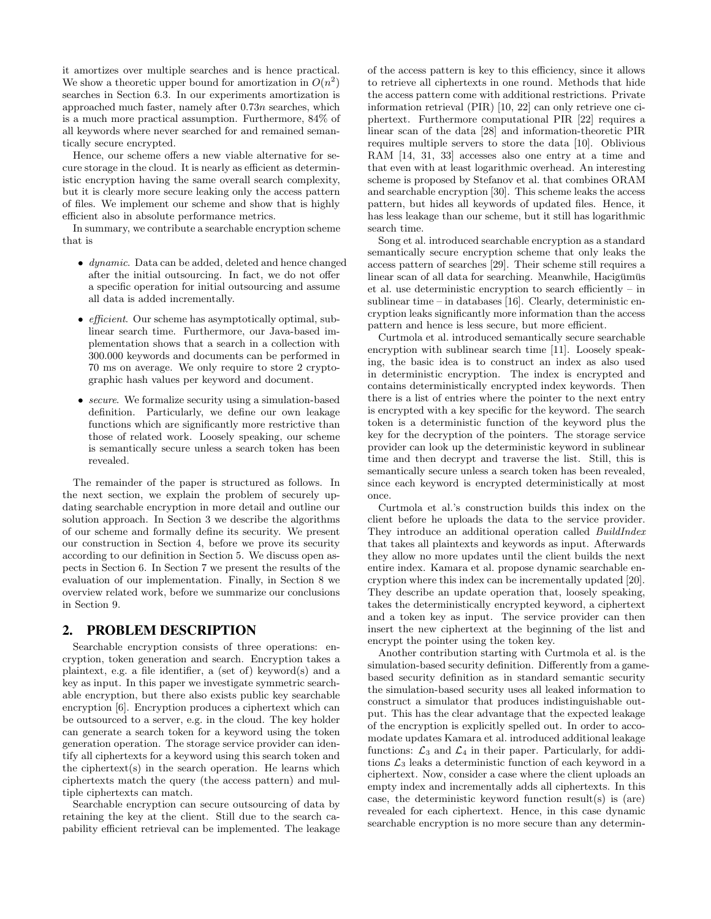it amortizes over multiple searches and is hence practical. We show a theoretic upper bound for amortization in  $O(n^2)$ searches in Section 6.3. In our experiments amortization is approached much faster, namely after 0.73n searches, which is a much more practical assumption. Furthermore, 84% of all keywords where never searched for and remained semantically secure encrypted.

Hence, our scheme offers a new viable alternative for secure storage in the cloud. It is nearly as efficient as deterministic encryption having the same overall search complexity, but it is clearly more secure leaking only the access pattern of files. We implement our scheme and show that is highly efficient also in absolute performance metrics.

In summary, we contribute a searchable encryption scheme that is

- dynamic. Data can be added, deleted and hence changed after the initial outsourcing. In fact, we do not offer a specific operation for initial outsourcing and assume all data is added incrementally.
- *efficient*. Our scheme has asymptotically optimal, sublinear search time. Furthermore, our Java-based implementation shows that a search in a collection with 300.000 keywords and documents can be performed in 70 ms on average. We only require to store 2 cryptographic hash values per keyword and document.
- secure. We formalize security using a simulation-based definition. Particularly, we define our own leakage functions which are significantly more restrictive than those of related work. Loosely speaking, our scheme is semantically secure unless a search token has been revealed.

The remainder of the paper is structured as follows. In the next section, we explain the problem of securely updating searchable encryption in more detail and outline our solution approach. In Section 3 we describe the algorithms of our scheme and formally define its security. We present our construction in Section 4, before we prove its security according to our definition in Section 5. We discuss open aspects in Section 6. In Section 7 we present the results of the evaluation of our implementation. Finally, in Section 8 we overview related work, before we summarize our conclusions in Section 9.

# 2. PROBLEM DESCRIPTION

Searchable encryption consists of three operations: encryption, token generation and search. Encryption takes a plaintext, e.g. a file identifier, a (set of) keyword(s) and a key as input. In this paper we investigate symmetric searchable encryption, but there also exists public key searchable encryption [6]. Encryption produces a ciphertext which can be outsourced to a server, e.g. in the cloud. The key holder can generate a search token for a keyword using the token generation operation. The storage service provider can identify all ciphertexts for a keyword using this search token and the ciphertext(s) in the search operation. He learns which ciphertexts match the query (the access pattern) and multiple ciphertexts can match.

Searchable encryption can secure outsourcing of data by retaining the key at the client. Still due to the search capability efficient retrieval can be implemented. The leakage of the access pattern is key to this efficiency, since it allows to retrieve all ciphertexts in one round. Methods that hide the access pattern come with additional restrictions. Private information retrieval (PIR) [10, 22] can only retrieve one ciphertext. Furthermore computational PIR [22] requires a linear scan of the data [28] and information-theoretic PIR requires multiple servers to store the data [10]. Oblivious RAM [14, 31, 33] accesses also one entry at a time and that even with at least logarithmic overhead. An interesting scheme is proposed by Stefanov et al. that combines ORAM and searchable encryption [30]. This scheme leaks the access pattern, but hides all keywords of updated files. Hence, it has less leakage than our scheme, but it still has logarithmic search time.

Song et al. introduced searchable encryption as a standard semantically secure encryption scheme that only leaks the access pattern of searches [29]. Their scheme still requires a linear scan of all data for searching. Meanwhile, Hacigümüs et al. use deterministic encryption to search efficiently – in sublinear time – in databases [16]. Clearly, deterministic encryption leaks significantly more information than the access pattern and hence is less secure, but more efficient.

Curtmola et al. introduced semantically secure searchable encryption with sublinear search time [11]. Loosely speaking, the basic idea is to construct an index as also used in deterministic encryption. The index is encrypted and contains deterministically encrypted index keywords. Then there is a list of entries where the pointer to the next entry is encrypted with a key specific for the keyword. The search token is a deterministic function of the keyword plus the key for the decryption of the pointers. The storage service provider can look up the deterministic keyword in sublinear time and then decrypt and traverse the list. Still, this is semantically secure unless a search token has been revealed, since each keyword is encrypted deterministically at most once.

Curtmola et al.'s construction builds this index on the client before he uploads the data to the service provider. They introduce an additional operation called *BuildIndex* that takes all plaintexts and keywords as input. Afterwards they allow no more updates until the client builds the next entire index. Kamara et al. propose dynamic searchable encryption where this index can be incrementally updated [20]. They describe an update operation that, loosely speaking, takes the deterministically encrypted keyword, a ciphertext and a token key as input. The service provider can then insert the new ciphertext at the beginning of the list and encrypt the pointer using the token key.

Another contribution starting with Curtmola et al. is the simulation-based security definition. Differently from a gamebased security definition as in standard semantic security the simulation-based security uses all leaked information to construct a simulator that produces indistinguishable output. This has the clear advantage that the expected leakage of the encryption is explicitly spelled out. In order to accomodate updates Kamara et al. introduced additional leakage functions:  $\mathcal{L}_3$  and  $\mathcal{L}_4$  in their paper. Particularly, for additions  $\mathcal{L}_3$  leaks a deterministic function of each keyword in a ciphertext. Now, consider a case where the client uploads an empty index and incrementally adds all ciphertexts. In this case, the deterministic keyword function result(s) is (are) revealed for each ciphertext. Hence, in this case dynamic searchable encryption is no more secure than any determin-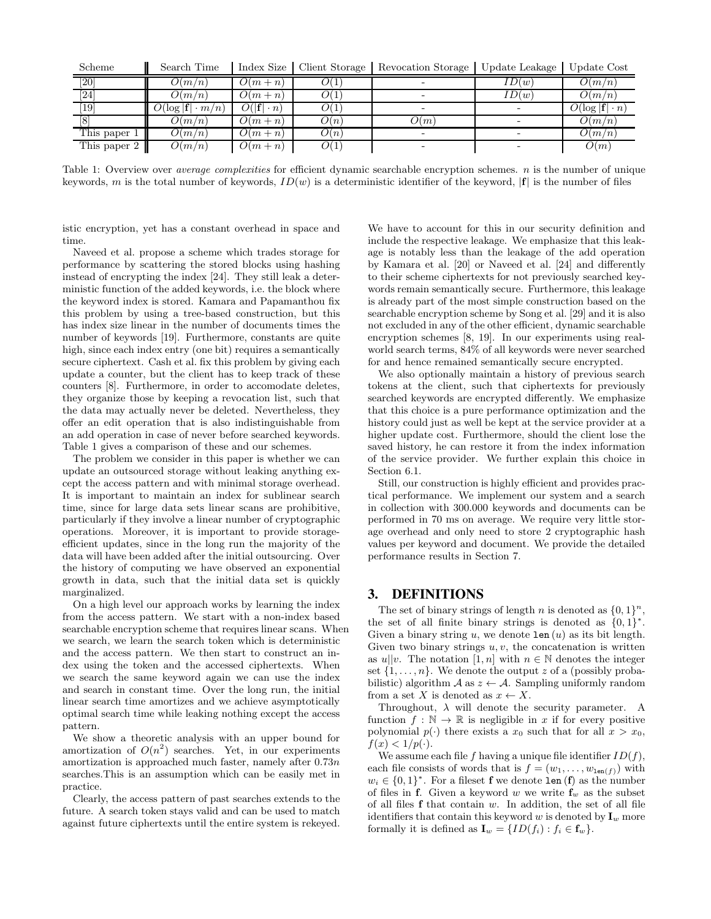| Scheme                       | Search Time                      | Index Size                | Client Storage | Revocation Storage | Update Leakage | Update Cost                    |
|------------------------------|----------------------------------|---------------------------|----------------|--------------------|----------------|--------------------------------|
| [20]                         | O(m/n)                           | $O(m+n)$                  | 0(1)           |                    | ID(w)          | O(m/n)                         |
| $\overline{24}$              | O(m/n)                           | $O(m+n)$                  | 0(1            |                    | ID(w)          | O(m/n)                         |
| $\left\lceil 19\right\rceil$ | $O(\log  \mathbf{f}  \cdot m/n)$ | $O( \mathbf{f}  \cdot n)$ | 0(1)           |                    |                | $O(\log  \mathbf{f}  \cdot n)$ |
| $\sqrt{8}$                   | O(m/n)                           | $O(m+n)$                  | O(n)           | O(m)               |                | O(m/n)                         |
| This paper 1                 | O(m/n)                           | $O(m+n)$                  | O(n)           |                    |                | O(m/n)                         |
| This paper 2                 | O(m/n)                           | $O(m+n)$                  | O(1)           |                    |                | O(m)                           |

Table 1: Overview over *average complexities* for efficient dynamic searchable encryption schemes. *n* is the number of unique keywords, m is the total number of keywords,  $ID(w)$  is a deterministic identifier of the keyword,  $|f|$  is the number of files

istic encryption, yet has a constant overhead in space and time.

Naveed et al. propose a scheme which trades storage for performance by scattering the stored blocks using hashing instead of encrypting the index [24]. They still leak a deterministic function of the added keywords, i.e. the block where the keyword index is stored. Kamara and Papamanthou fix this problem by using a tree-based construction, but this has index size linear in the number of documents times the number of keywords [19]. Furthermore, constants are quite high, since each index entry (one bit) requires a semantically secure ciphertext. Cash et al. fix this problem by giving each update a counter, but the client has to keep track of these counters [8]. Furthermore, in order to accomodate deletes, they organize those by keeping a revocation list, such that the data may actually never be deleted. Nevertheless, they offer an edit operation that is also indistinguishable from an add operation in case of never before searched keywords. Table 1 gives a comparison of these and our schemes.

The problem we consider in this paper is whether we can update an outsourced storage without leaking anything except the access pattern and with minimal storage overhead. It is important to maintain an index for sublinear search time, since for large data sets linear scans are prohibitive, particularly if they involve a linear number of cryptographic operations. Moreover, it is important to provide storageefficient updates, since in the long run the majority of the data will have been added after the initial outsourcing. Over the history of computing we have observed an exponential growth in data, such that the initial data set is quickly marginalized.

On a high level our approach works by learning the index from the access pattern. We start with a non-index based searchable encryption scheme that requires linear scans. When we search, we learn the search token which is deterministic and the access pattern. We then start to construct an index using the token and the accessed ciphertexts. When we search the same keyword again we can use the index and search in constant time. Over the long run, the initial linear search time amortizes and we achieve asymptotically optimal search time while leaking nothing except the access pattern.

We show a theoretic analysis with an upper bound for amortization of  $O(n^2)$  searches. Yet, in our experiments amortization is approached much faster, namely after 0.73n searches.This is an assumption which can be easily met in practice.

Clearly, the access pattern of past searches extends to the future. A search token stays valid and can be used to match against future ciphertexts until the entire system is rekeyed. We have to account for this in our security definition and include the respective leakage. We emphasize that this leakage is notably less than the leakage of the add operation by Kamara et al. [20] or Naveed et al. [24] and differently to their scheme ciphertexts for not previously searched keywords remain semantically secure. Furthermore, this leakage is already part of the most simple construction based on the searchable encryption scheme by Song et al. [29] and it is also not excluded in any of the other efficient, dynamic searchable encryption schemes [8, 19]. In our experiments using realworld search terms, 84% of all keywords were never searched for and hence remained semantically secure encrypted.

We also optionally maintain a history of previous search tokens at the client, such that ciphertexts for previously searched keywords are encrypted differently. We emphasize that this choice is a pure performance optimization and the history could just as well be kept at the service provider at a higher update cost. Furthermore, should the client lose the saved history, he can restore it from the index information of the service provider. We further explain this choice in Section 6.1.

Still, our construction is highly efficient and provides practical performance. We implement our system and a search in collection with 300.000 keywords and documents can be performed in 70 ms on average. We require very little storage overhead and only need to store 2 cryptographic hash values per keyword and document. We provide the detailed performance results in Section 7.

## 3. DEFINITIONS

The set of binary strings of length *n* is denoted as  $\{0, 1\}^n$ , the set of all finite binary strings is denoted as  $\{0,1\}^*$ . Given a binary string u, we denote  $\text{len}(u)$  as its bit length. Given two binary strings  $u, v$ , the concatenation is written as u||v. The notation [1, n] with  $n \in \mathbb{N}$  denotes the integer set  $\{1, \ldots, n\}$ . We denote the output z of a (possibly probabilistic) algorithm  $A$  as  $z \leftarrow A$ . Sampling uniformly random from a set X is denoted as  $x \leftarrow X$ .

Throughout,  $\lambda$  will denote the security parameter. A function  $f : \mathbb{N} \to \mathbb{R}$  is negligible in x if for every positive polynomial  $p(\cdot)$  there exists a  $x_0$  such that for all  $x > x_0$ ,  $f(x) < 1/p(\cdot)$ .

We assume each file f having a unique file identifier  $ID(f)$ , each file consists of words that is  $f = (w_1, \ldots, w_{\text{len}(f)})$  with  $w_i \in \{0,1\}^*$ . For a fileset **f** we denote len (**f**) as the number of files in f. Given a keyword w we write  $f_w$  as the subset of all files  $f$  that contain  $w$ . In addition, the set of all file identifiers that contain this keyword w is denoted by  $I_w$  more formally it is defined as  $\mathbf{I}_w = \{ID(f_i) : f_i \in \mathbf{f}_w\}.$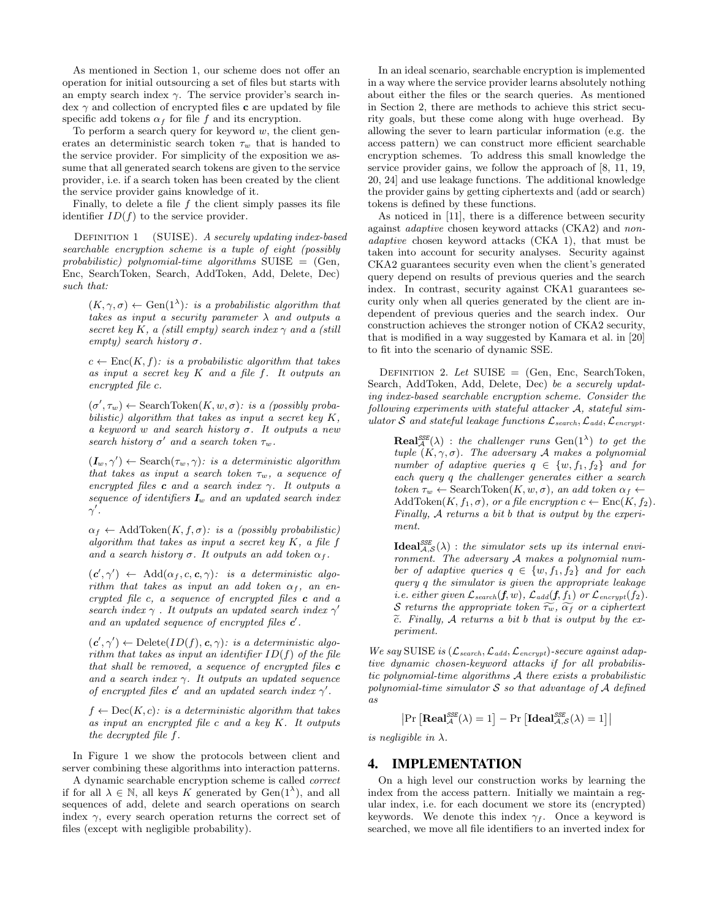As mentioned in Section 1, our scheme does not offer an operation for initial outsourcing a set of files but starts with an empty search index  $\gamma$ . The service provider's search in- $\text{dex} \gamma$  and collection of encrypted files **c** are updated by file specific add tokens  $\alpha_f$  for file f and its encryption.

To perform a search query for keyword  $w$ , the client generates an deterministic search token  $\tau_w$  that is handed to the service provider. For simplicity of the exposition we assume that all generated search tokens are given to the service provider, i.e. if a search token has been created by the client the service provider gains knowledge of it.

Finally, to delete a file  $f$  the client simply passes its file identifier  $ID(f)$  to the service provider.

DEFINITION 1 (SUISE). A securely updating index-based searchable encryption scheme is a tuple of eight (possibly probabilistic) polynomial-time algorithms  $SUBSE = (Gen,$ Enc, SearchToken, Search, AddToken, Add, Delete, Dec) such that

 $(K, \gamma, \sigma) \leftarrow \text{Gen}(1^{\lambda})$ : is a probabilistic algorithm that takes as input a security parameter  $\lambda$  and outputs a secret key K, a (still empty) search index  $\gamma$  and a (still empty) search history  $\sigma$ .

 $c \leftarrow \text{Enc}(K, f)$ : is a probabilistic algorithm that takes as input a secret key K and a file f. It outputs an encrypted file c.

 $(\sigma', \tau_w) \leftarrow \text{SearchToken}(K, w, \sigma)$ : is a (possibly probabilistic) algorithm that takes as input a secret key K, a keyword w and search history  $\sigma$ . It outputs a new search history  $\sigma'$  and a search token  $\tau_w$ .

 $(I_w, \gamma') \leftarrow \text{Search}(\tau_w, \gamma)$ : is a deterministic algorithm that takes as input a search token  $\tau_w$ , a sequence of encrypted files **c** and a search index  $\gamma$ . It outputs a sequence of identifiers  $I_w$  and an updated search index γ ′ .

 $\alpha_f \leftarrow \text{AddToken}(K, f, \sigma)$ : is a (possibly probabilistic) algorithm that takes as input a secret key  $K$ , a file  $f$ and a search history  $\sigma$ . It outputs an add token  $\alpha_f$ .

 $(c', \gamma') \leftarrow \text{Add}(\alpha_f, c, c, \gamma)$ : is a deterministic algorithm that takes as input an add token  $\alpha_f$ , an encrypted file c, a sequence of encrypted files c and a search index  $\gamma$ . It outputs an updated search index  $\gamma'$ and an updated sequence of encrypted files  $c'$ .

 $(c', \gamma') \leftarrow$  Delete $(ID(f), c, \gamma)$ : is a deterministic algorithm that takes as input an identifier  $ID(f)$  of the file that shall be removed, a sequence of encrypted files  $c$ and a search index  $\gamma$ . It outputs an updated sequence of encrypted files  $c'$  and an updated search index  $\gamma'$ .

 $f \leftarrow \text{Dec}(K, c)$ : is a deterministic algorithm that takes as input an encrypted file c and a key K. It outputs the decrypted file f.

In Figure 1 we show the protocols between client and server combining these algorithms into interaction patterns.

A dynamic searchable encryption scheme is called correct if for all  $\lambda \in \mathbb{N}$ , all keys K generated by  $Gen(1^{\lambda})$ , and all sequences of add, delete and search operations on search index  $\gamma$ , every search operation returns the correct set of files (except with negligible probability).

In an ideal scenario, searchable encryption is implemented in a way where the service provider learns absolutely nothing about either the files or the search queries. As mentioned in Section 2, there are methods to achieve this strict security goals, but these come along with huge overhead. By allowing the sever to learn particular information (e.g. the access pattern) we can construct more efficient searchable encryption schemes. To address this small knowledge the service provider gains, we follow the approach of [8, 11, 19, 20, 24] and use leakage functions. The additional knowledge the provider gains by getting ciphertexts and (add or search) tokens is defined by these functions.

As noticed in [11], there is a difference between security against adaptive chosen keyword attacks (CKA2) and nonadaptive chosen keyword attacks (CKA 1), that must be taken into account for security analyses. Security against CKA2 guarantees security even when the client's generated query depend on results of previous queries and the search index. In contrast, security against CKA1 guarantees security only when all queries generated by the client are independent of previous queries and the search index. Our construction achieves the stronger notion of CKA2 security, that is modified in a way suggested by Kamara et al. in [20] to fit into the scenario of dynamic SSE.

DEFINITION 2. Let SUISE  $=$  (Gen, Enc, SearchToken, Search, AddToken, Add, Delete, Dec) be a securely updating index-based searchable encryption scheme. Consider the following experiments with stateful attacker A, stateful simulator S and stateful leakage functions  $\mathcal{L}_{search}$ ,  $\mathcal{L}_{add}$ ,  $\mathcal{L}_{encryption}$ .

**Real**<sup>SSE</sup>( $\lambda$ ) : the challenger runs Gen(1<sup> $\lambda$ </sup>) to get the tuple  $(K, \gamma, \sigma)$ . The adversary A makes a polynomial number of adaptive queries  $q \in \{w, f_1, f_2\}$  and for each query q the challenger generates either a search token  $\tau_w \leftarrow$  SearchToken $(K, w, \sigma)$ , an add token  $\alpha_f \leftarrow$ AddToken $(K, f_1, \sigma)$ , or a file encryption  $c \leftarrow \text{Enc}(K, f_2)$ . Finally, A returns a bit b that is output by the experiment.

 $\text{Ideal}_{\mathcal{A},\mathcal{S}}^{\text{SSE}}(\lambda)$  : the simulator sets up its internal environment. The adversary A makes a polynomial number of adaptive queries  $q \in \{w, f_1, f_2\}$  and for each query q the simulator is given the appropriate leakage i.e. either given  $\mathcal{L}_{search}(f, w)$ ,  $\mathcal{L}_{add}(f, f_1)$  or  $\mathcal{L}_{encryption}(f_2)$ . S returns the appropriate token  $\widetilde{\tau_w}$ ,  $\widetilde{\alpha_f}$  or a ciphertext  $\tilde{c}$ . Finally, A returns a bit b that is output by the experiment.

We say SUISE is  $(\mathcal{L}_{search}, \mathcal{L}_{addr}, \mathcal{L}_{encrypt})$ -secure against adaptive dynamic chosen-keyword attacks if for all probabilistic polynomial-time algorithms A there exists a probabilistic polynomial-time simulator  $S$  so that advantage of  $A$  defined  $a<sub>s</sub>$ 

 $\Pr \left[ \text{Real}_{\mathcal{A}}^{SSE}(\lambda) = 1 \right] - \Pr \left[ \text{Ideal}_{\mathcal{A},\mathcal{S}}^{SSE}(\lambda) = 1 \right]$ 

is negligible in  $\lambda$ .

### 4. IMPLEMENTATION

On a high level our construction works by learning the index from the access pattern. Initially we maintain a regular index, i.e. for each document we store its (encrypted) keywords. We denote this index  $\gamma_f$ . Once a keyword is searched, we move all file identifiers to an inverted index for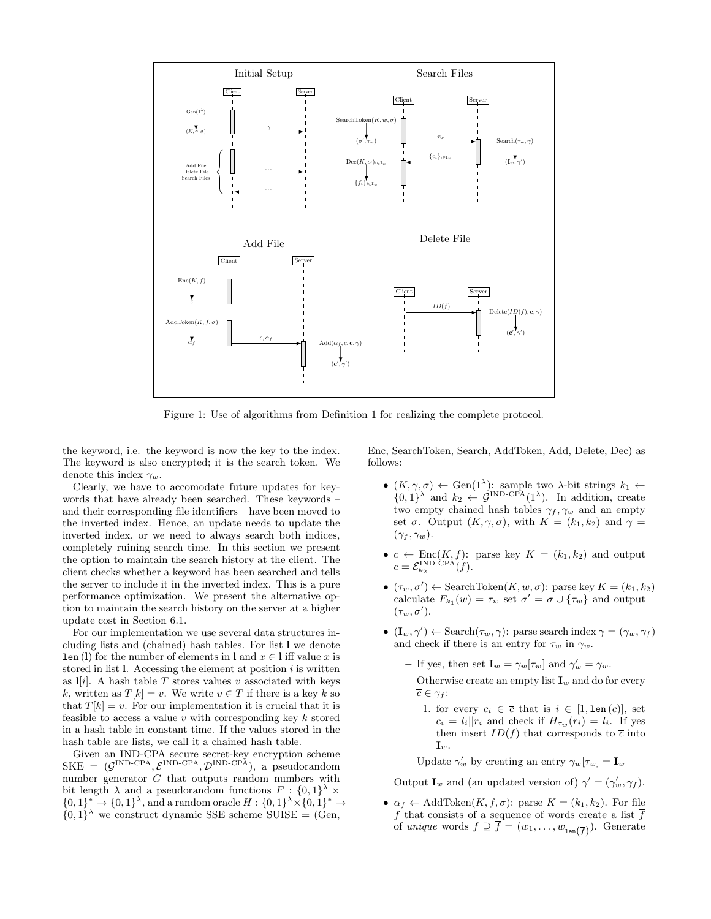

Figure 1: Use of algorithms from Definition 1 for realizing the complete protocol.

the keyword, i.e. the keyword is now the key to the index. The keyword is also encrypted; it is the search token. We denote this index  $\gamma_w$ .

Clearly, we have to accomodate future updates for keywords that have already been searched. These keywords – and their corresponding file identifiers – have been moved to the inverted index. Hence, an update needs to update the inverted index, or we need to always search both indices, completely ruining search time. In this section we present the option to maintain the search history at the client. The client checks whether a keyword has been searched and tells the server to include it in the inverted index. This is a pure performance optimization. We present the alternative option to maintain the search history on the server at a higher update cost in Section 6.1.

For our implementation we use several data structures including lists and (chained) hash tables. For list l we denote len (l) for the number of elements in l and  $x \in I$  iff value x is stored in list  $l$ . Accessing the element at position  $i$  is written as  $\mathbf{I}[i]$ . A hash table T stores values v associated with keys k, written as  $T[k] = v$ . We write  $v \in T$  if there is a key k so that  $T[k] = v$ . For our implementation it is crucial that it is feasible to access a value  $v$  with corresponding key  $k$  stored in a hash table in constant time. If the values stored in the hash table are lists, we call it a chained hash table.

Given an IND-CPA secure secret-key encryption scheme  $SKE = (G^{IND-CPA}, \mathcal{E}^{IND-CPA}, \mathcal{D}^{IND-CPA}),$  a pseudorandom number generator G that outputs random numbers with bit length  $\lambda$  and a pseudorandom functions  $F: \{0,1\}^{\lambda} \times$  $\{0,1\}^* \to \{0,1\}^{\lambda}$ , and a random oracle  $H: \{0,1\}^{\lambda} \times \{0,1\}^* \to$  ${0,1}^{\lambda}$  we construct dynamic SSE scheme SUISE = (Gen,

Enc, SearchToken, Search, AddToken, Add, Delete, Dec) as follows:

- $(K, \gamma, \sigma) \leftarrow \text{Gen}(1^{\lambda})$ : sample two  $\lambda$ -bit strings  $k_1 \leftarrow$  $\{0,1\}^{\lambda}$  and  $k_2 \leftarrow \mathcal{G}^{\text{IND-CPA}}(1^{\lambda})$ . In addition, create two empty chained hash tables  $\gamma_f, \gamma_w$  and an empty set  $\sigma$ . Output  $(K, \gamma, \sigma)$ , with  $K = (k_1, k_2)$  and  $\gamma =$  $(\gamma_f, \gamma_w).$
- $c \leftarrow \text{Enc}(K, f)$ : parse key  $K = (k_1, k_2)$  and output  $c = \mathcal{E}_{k_2}^{\text{IND-CPA}}(f).$
- $(\tau_w, \sigma') \leftarrow \text{SearchToken}(K, w, \sigma)$ : parse key  $K = (k_1, k_2)$ calculate  $F_{k_1}(w) = \tau_w$  set  $\sigma' = \sigma \cup {\tau_w}$  and output  $(\tau_w, \sigma').$
- $(\mathbf{I}_w, \gamma') \leftarrow \text{Search}(\tau_w, \gamma)$ : parse search index  $\gamma = (\gamma_w, \gamma_f)$ and check if there is an entry for  $\tau_w$  in  $\gamma_w$ .
	- If yes, then set  $\mathbf{I}_w = \gamma_w[\tau_w]$  and  $\gamma'_w = \gamma_w$ .
	- Otherwise create an empty list  $I_w$  and do for every  $c \in \gamma_f$ :
		- 1. for every  $c_i \in \overline{c}$  that is  $i \in [1, \text{len}(c)],$  set  $c_i = l_i || r_i$  and check if  $H_{\tau_w}(r_i) = l_i$ . If yes then insert  $ID(f)$  that corresponds to  $\overline{c}$  into  $\mathbf{I}_{w}$ .

Update  $\gamma'_w$  by creating an entry  $\gamma_w[\tau_w] = \mathbf{I}_w$ 

Output  $\mathbf{I}_w$  and (an updated version of)  $\gamma' = (\gamma'_w, \gamma_f)$ .

•  $\alpha_f \leftarrow \text{AddToken}(K, f, \sigma)$ : parse  $K = (k_1, k_2)$ . For file f that consists of a sequence of words create a list  $f$ of unique words  $f \supseteq f = (w_1, \ldots, w_{\text{len}(\overline{f})})$ . Generate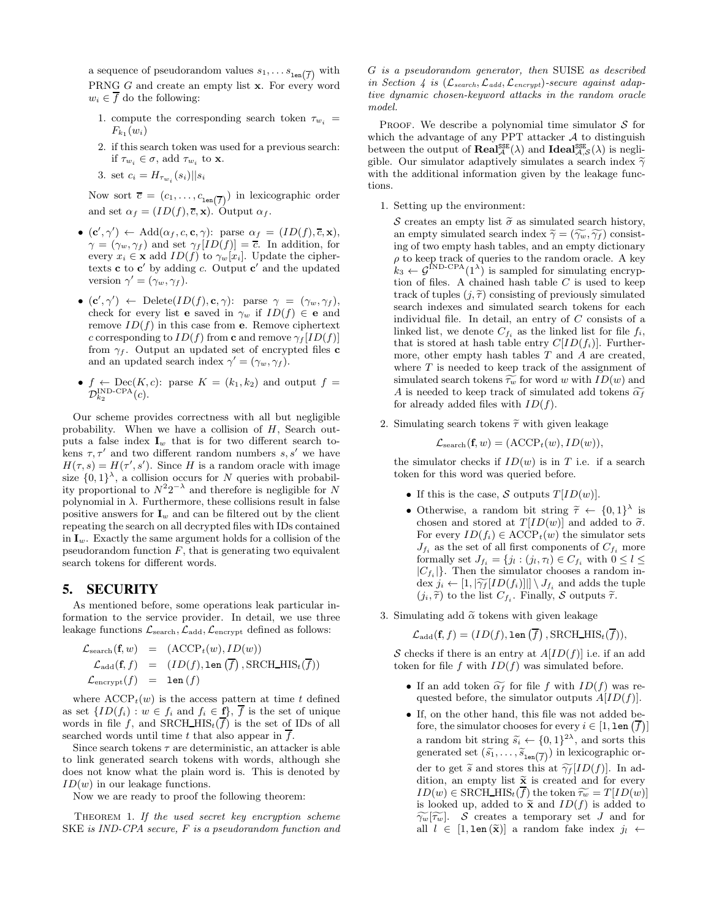a sequence of pseudorandom values  $s_1, \ldots s_{\text{len}(\overline{f})}$  with PRNG G and create an empty list x. For every word  $w_i \in \overline{f}$  do the following:

- 1. compute the corresponding search token  $\tau_{w_i} =$  $F_{k_1}(w_i)$
- 2. if this search token was used for a previous search: if  $\tau_{w_i} \in \sigma$ , add  $\tau_{w_i}$  to **x**.
- 3. set  $c_i = H_{\tau_{w_i}}(s_i) || s_i$

Now sort  $\overline{c} = (c_1, \ldots, c_{\text{len}(\overline{f})})$  in lexicographic order and set  $\alpha_f = (ID(f), \overline{c}, \mathbf{x})$ . Output  $\alpha_f$ .

- $(c', \gamma') \leftarrow \text{Add}(\alpha_f, c, \mathbf{c}, \gamma)$ : parse  $\alpha_f = (ID(f), \overline{c}, \mathbf{x}),$  $\gamma = (\gamma_w, \gamma_f)$  and set  $\gamma_f [ID(f)] = \overline{c}$ . In addition, for every  $x_i \in \mathbf{x}$  add  $ID(f)$  to  $\gamma_w[x_i]$ . Update the ciphertexts **c** to **c**' by adding c. Output **c**' and the updated version  $\gamma' = (\gamma_w, \gamma_f)$ .
- $(c', \gamma') \leftarrow$  Delete $(ID(f), c, \gamma)$ : parse  $\gamma = (\gamma_w, \gamma_f)$ , check for every list **e** saved in  $\gamma_w$  if  $ID(f) \in$  **e** and remove  $ID(f)$  in this case from **e**. Remove ciphertext c corresponding to  $ID(f)$  from **c** and remove  $\gamma_f [ID(f)]$ from  $\gamma_f$ . Output an updated set of encrypted files c and an updated search index  $\gamma' = (\gamma_w, \gamma_f)$ .
- $f \leftarrow \text{Dec}(K, c)$ : parse  $K = (k_1, k_2)$  and output  $f =$  $\mathcal{D}_{k_2}^{\rm IND-CPA}(c)$ .

Our scheme provides correctness with all but negligible probability. When we have a collision of H, Search outputs a false index  $I_w$  that is for two different search tokens  $\tau, \tau'$  and two different random numbers  $s, s'$  we have  $H(\tau, s) = H(\tau', s')$ . Since H is a random oracle with image size  $\{0,1\}^{\lambda}$ , a collision occurs for N queries with probability proportional to  $N^2 2^{-\lambda}$  and therefore is negligible for N polynomial in  $\lambda$ . Furthermore, these collisions result in false positive answers for  $\mathbf{I}_w$  and can be filtered out by the client repeating the search on all decrypted files with IDs contained in  $I_w$ . Exactly the same argument holds for a collision of the pseudorandom function  $F$ , that is generating two equivalent search tokens for different words.

### 5. SECURITY

As mentioned before, some operations leak particular information to the service provider. In detail, we use three leakage functions  $\mathcal{L}_{\text{search}}, \mathcal{L}_{\text{add}}, \mathcal{L}_{\text{encrypt}}$  defined as follows:

$$
\mathcal{L}_{\text{search}}(\mathbf{f}, w) = (\text{ACCP}_t(w), ID(w))
$$
\n
$$
\mathcal{L}_{\text{add}}(\mathbf{f}, f) = (ID(f), \text{len}(\overline{f}), \text{SRCH\_HIS}_t(\overline{f}))
$$
\n
$$
\mathcal{L}_{\text{encrypt}}(f) = \text{len}(f)
$$

where  $\text{ACCP}_t(w)$  is the access pattern at time t defined as set  $\{ID(f_i) : w \in f_i \text{ and } f_i \in \mathbf{f}\}, \overline{f}$  is the set of unique words in file f, and SRCH\_HIS<sub>t</sub> $(\overline{f})$  is the set of IDs of all searched words until time t that also appear in  $\overline{f}$ .

Since search tokens  $\tau$  are deterministic, an attacker is able to link generated search tokens with words, although she does not know what the plain word is. This is denoted by  $ID(w)$  in our leakage functions.

Now we are ready to proof the following theorem:

THEOREM 1. If the used secret key encryption scheme SKE is IND-CPA secure, F is a pseudorandom function and G is a pseudorandom generator, then SUISE as described in Section 4 is  $(\mathcal{L}_{search}, \mathcal{L}_{add}, \mathcal{L}_{encrypt})$ -secure against adaptive dynamic chosen-keyword attacks in the random oracle model.

PROOF. We describe a polynomial time simulator  $S$  for which the advantage of any PPT attacker  $A$  to distinguish between the output of  $\text{Real}_{\mathcal{A}}^{\text{SSE}}(\lambda)$  and  $\text{Ideal}_{\mathcal{A},\mathcal{S}}^{\text{SSE}}(\lambda)$  is negligible. Our simulator adaptively simulates a search index  $\tilde{\gamma}$ with the additional information given by the leakage functions.

1. Setting up the environment:

S creates an empty list  $\tilde{\sigma}$  as simulated search history, an empty simulated search index  $\widetilde{\gamma} = (\widetilde{\gamma_w}, \widetilde{\gamma_f})$  consisting of two empty hash tables, and an empty dictionary  $\rho$  to keep track of queries to the random oracle. A key  $k_3 \leftarrow \mathcal{G}^{\text{IND-CPA}}(1^{\lambda})$  is sampled for simulating encryption of files. A chained hash table  $C$  is used to keep track of tuples  $(j, \tilde{\tau})$  consisting of previously simulated search indexes and simulated search tokens for each individual file. In detail, an entry of  $C$  consists of a linked list, we denote  $C_{f_i}$  as the linked list for file  $f_i$ , that is stored at hash table entry  $C[ID(f_i)]$ . Furthermore, other empty hash tables  $T$  and  $A$  are created, where  $T$  is needed to keep track of the assignment of simulated search tokens  $\widetilde{\tau_w}$  for word w with  $ID(w)$  and A is needed to keep track of simulated add tokens  $\widetilde{\alpha_f}$ for already added files with  $ID(f)$ .

2. Simulating search tokens  $\tilde{\tau}$  with given leakage

$$
\mathcal{L}_{\text{search}}(\mathbf{f}, w) = (\text{ACCP}_t(w), ID(w)),
$$

the simulator checks if  $ID(w)$  is in T i.e. if a search token for this word was queried before.

- If this is the case, S outputs  $T[ID(w)]$ .
- Otherwise, a random bit string  $\tilde{\tau} \leftarrow \{0,1\}^{\lambda}$  is chosen and stored at  $T[ID(w)]$  and added to  $\tilde{\sigma}$ . For every  $ID(f_i) \in \text{ACCP}_t(w)$  the simulator sets  $J_{f_i}$  as the set of all first components of  $C_{f_i}$  more formally set  $J_{f_i} = \{j_l : (j_l, \tau_l) \in C_{f_i} \text{ with } 0 \leq l \leq$  $|C_{f_i}|\}.$  Then the simulator chooses a random in- $\text{dex } j_i \leftarrow [1, |\widetilde{\gamma_f}[ID(f_i)]|] \setminus J_{f_i}$  and adds the tuple  $(j_i, \tilde{\tau})$  to the list  $C_{f_i}$ . Finally, S outputs  $\tilde{\tau}$ .
- 3. Simulating add  $\tilde{\alpha}$  tokens with given leakage

$$
\mathcal{L}_{\text{add}}(\mathbf{f}, f) = (ID(f), \text{len}(\overline{f}), \text{SRCH\_HIS}_t(\overline{f})),
$$

S checks if there is an entry at  $A[ID(f)]$  i.e. if an add token for file f with  $ID(f)$  was simulated before.

- If an add token  $\widetilde{\alpha_f}$  for file f with  $ID(f)$  was requested before, the simulator outputs  $A(ID(f)].$
- If, on the other hand, this file was not added before, the simulator chooses for every  $i \in [1, \text{len}(\overline{f})]$ a random bit string  $\widetilde{s}_i \leftarrow \{0,1\}^{2\lambda}$ , and sorts this generated set  $(\widetilde{s_1}, \ldots, \widetilde{s}_{1\text{en}(\overline{f})})$  in lexicographic order to get  $\tilde{s}$  and stores this at  $\widetilde{\gamma_f}[ID(f)]$ . In addition, an empty list  $\tilde{\mathbf{x}}$  is created and for every  $ID(w) \in \text{SRCH\_HIS}_t(f)$  the token  $\widetilde{\tau_w} = T[ID(w)]$ is looked up, added to  $\tilde{\mathbf{x}}$  and  $ID(f)$  is added to  $\widetilde{\gamma_w}[\widetilde{\tau_w}]$ . S creates a temporary set J and for all  $l \in [1, \text{len}(\tilde{\mathbf{x}})]$  a random fake index  $j_l \leftarrow$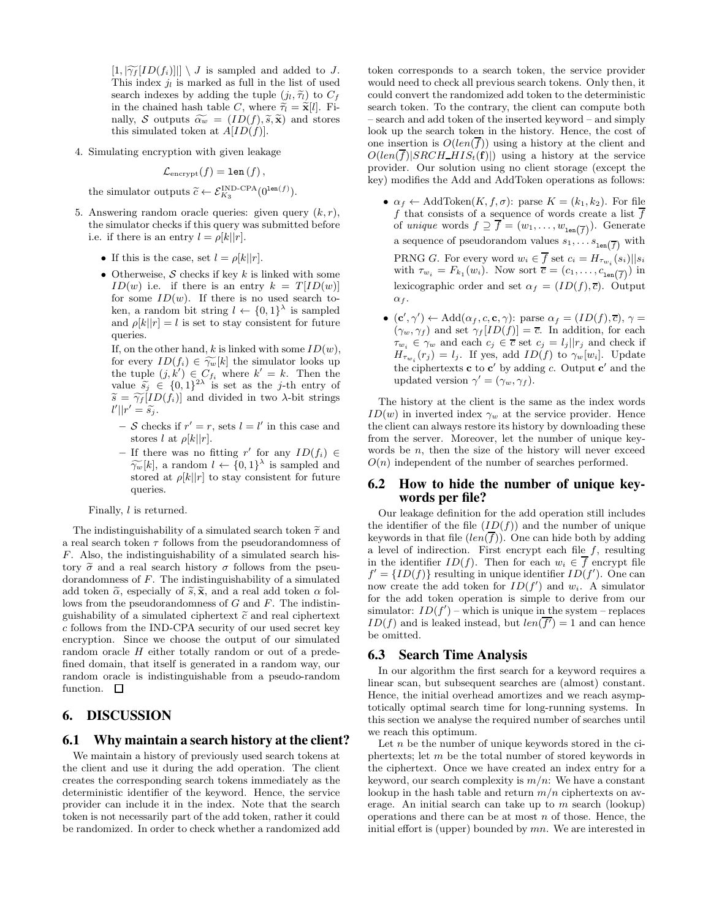$[1, |\widetilde{\gamma_f}[ID(f_i)]|] \setminus J$  is sampled and added to J. This index  $j_l$  is marked as full in the list of used search indexes by adding the tuple  $(i_l, \tilde{\tau}_l)$  to  $C_f$ in the chained hash table C, where  $\tilde{\tau}_l = \tilde{\mathbf{x}}[l]$ . Finally, S outputs  $\widetilde{\alpha_w} = (ID(f), \widetilde{s}, \widetilde{\mathbf{x}})$  and stores this simulated token at  $A[ID(f)].$ 

4. Simulating encryption with given leakage

$$
\mathcal{L}_{\text{encrypt}}(f) = \text{len}(f),
$$

the simulator outputs  $\widetilde{c} \leftarrow \mathcal{E}_{K_3}^{\text{IND-CPA}}(0^{\text{len}(f)}).$ 

- 5. Answering random oracle queries: given query  $(k, r)$ , the simulator checks if this query was submitted before i.e. if there is an entry  $l = \rho[k||r]$ .
	- If this is the case, set  $l = \rho[k||r]$ .
	- Otherweise,  $S$  checks if key  $k$  is linked with some  $ID(w)$  i.e. if there is an entry  $k = T[ID(w)]$ for some  $ID(w)$ . If there is no used search token, a random bit string  $l \leftarrow \{0,1\}^{\lambda}$  is sampled and  $\rho[k||r] = l$  is set to stay consistent for future queries.

If, on the other hand, k is linked with some  $ID(w)$ , for every  $ID(f_i) \in \widetilde{\gamma_w}[k]$  the simulator looks up the tuple  $(j, k') \in C_{f_i}$  where  $k' = k$ . Then the value  $\widetilde{s_j} \in \{0,1\}^{2\lambda}$  is set as the *j*-th entry of  $\widetilde{s} = \widetilde{\gamma_f}[ID(f_i)]$  and divided in two  $\lambda$ -bit strings  $l'||r' = \widetilde{s_j}$ .

- $\sim$  S checks if  $r' = r$ , sets  $l = l'$  in this case and stores l at  $\rho[k||r]$ .
- − If there was no fitting r' for any  $ID(f_i)$  ∈  $\widetilde{\gamma_w}[k]$ , a random  $l \leftarrow \{0,1\}^{\lambda}$  is sampled and stored at  $\rho[k||r]$  to stay consistent for future queries.

### Finally,  $l$  is returned.

The indistinguishability of a simulated search token  $\tilde{\tau}$  and a real search token  $\tau$  follows from the pseudorandomness of F. Also, the indistinguishability of a simulated search history  $\tilde{\sigma}$  and a real search history  $\sigma$  follows from the pseudorandomness of  $F$ . The indistinguishability of a simulated add token  $\tilde{\alpha}$ , especially of  $\tilde{s}$ ,  $\tilde{x}$ , and a real add token  $\alpha$  follows from the pseudorandomness of  $G$  and  $F$ . The indistinguishability of a simulated ciphertext  $\tilde{c}$  and real ciphertext c follows from the IND-CPA security of our used secret key encryption. Since we choose the output of our simulated random oracle H either totally random or out of a predefined domain, that itself is generated in a random way, our random oracle is indistinguishable from a pseudo-random function.  $\square$ 

# 6. DISCUSSION

#### 6.1 Why maintain a search history at the client?

We maintain a history of previously used search tokens at the client and use it during the add operation. The client creates the corresponding search tokens immediately as the deterministic identifier of the keyword. Hence, the service provider can include it in the index. Note that the search token is not necessarily part of the add token, rather it could be randomized. In order to check whether a randomized add

token corresponds to a search token, the service provider would need to check all previous search tokens. Only then, it could convert the randomized add token to the deterministic search token. To the contrary, the client can compute both – search and add token of the inserted keyword – and simply look up the search token in the history. Hence, the cost of one insertion is  $O(len(f))$  using a history at the client and  $O(len(f)|SRCH\_HIS_t(f)|)$  using a history at the service provider. Our solution using no client storage (except the key) modifies the Add and AddToken operations as follows:

- $\alpha_f \leftarrow \text{AddToken}(K, f, \sigma)$ : parse  $K = (k_1, k_2)$ . For file f that consists of a sequence of words create a list  $f$ of unique words  $f \supseteq f = (w_1, \ldots, w_{\text{len}(\overline{f})})$ . Generate a sequence of pseudorandom values  $s_1, \ldots s_{\text{len}(\overline{f})}$  with PRNG G. For every word  $w_i \in f$  set  $c_i = H_{\tau_{w_i}}(s_i) || s_i$ with  $\tau_{w_i} = F_{k_1}(w_i)$ . Now sort  $\overline{c} = (c_1, \ldots, c_{\text{len}(\overline{f})})$  in lexicographic order and set  $\alpha_f = (ID(f), \overline{c})$ . Output  $\alpha_f$ .
- $(c', \gamma') \leftarrow \text{Add}(\alpha_f, c, \mathbf{c}, \gamma)$ : parse  $\alpha_f = (ID(f), \overline{c}), \gamma =$  $(\gamma_w, \gamma_f)$  and set  $\gamma_f[ID(f)] = \overline{c}$ . In addition, for each  $\tau_{w_i} \in \gamma_w$  and each  $c_j \in \overline{c}$  set  $c_j = l_j || r_j$  and check if  $H_{\tau_{w_i}}(r_j) = l_j$ . If yes, add  $ID(f)$  to  $\gamma_w[w_i]$ . Update the ciphertexts  $\mathbf c$  to  $\mathbf c'$  by adding c. Output  $\mathbf c'$  and the updated version  $\gamma' = (\gamma_w, \gamma_f)$ .

The history at the client is the same as the index words  $ID(w)$  in inverted index  $\gamma_w$  at the service provider. Hence the client can always restore its history by downloading these from the server. Moreover, let the number of unique keywords be  $n$ , then the size of the history will never exceed  $O(n)$  independent of the number of searches performed.

### 6.2 How to hide the number of unique keywords per file?

Our leakage definition for the add operation still includes the identifier of the file  $(ID(f))$  and the number of unique keywords in that file  $(len(\overline{f}))$ . One can hide both by adding a level of indirection. First encrypt each file  $f$ , resulting in the identifier  $ID(f)$ . Then for each  $w_i \in \overline{f}$  encrypt file  $f' = \{ID(f)\}\$ resulting in unique identifier  $ID(f')$ . One can now create the add token for  $ID(f')$  and  $w_i$ . A simulator for the add token operation is simple to derive from our simulator:  $ID(f')$  – which is unique in the system – replaces  $ID(f)$  and is leaked instead, but  $len(\overline{f'}) = 1$  and can hence be omitted.

#### 6.3 Search Time Analysis

In our algorithm the first search for a keyword requires a linear scan, but subsequent searches are (almost) constant. Hence, the initial overhead amortizes and we reach asymptotically optimal search time for long-running systems. In this section we analyse the required number of searches until we reach this optimum.

Let  $n$  be the number of unique keywords stored in the ciphertexts; let m be the total number of stored keywords in the ciphertext. Once we have created an index entry for a keyword, our search complexity is  $m/n$ : We have a constant lookup in the hash table and return  $m/n$  ciphertexts on average. An initial search can take up to  $m$  search (lookup) operations and there can be at most  $n$  of those. Hence, the initial effort is (upper) bounded by mn. We are interested in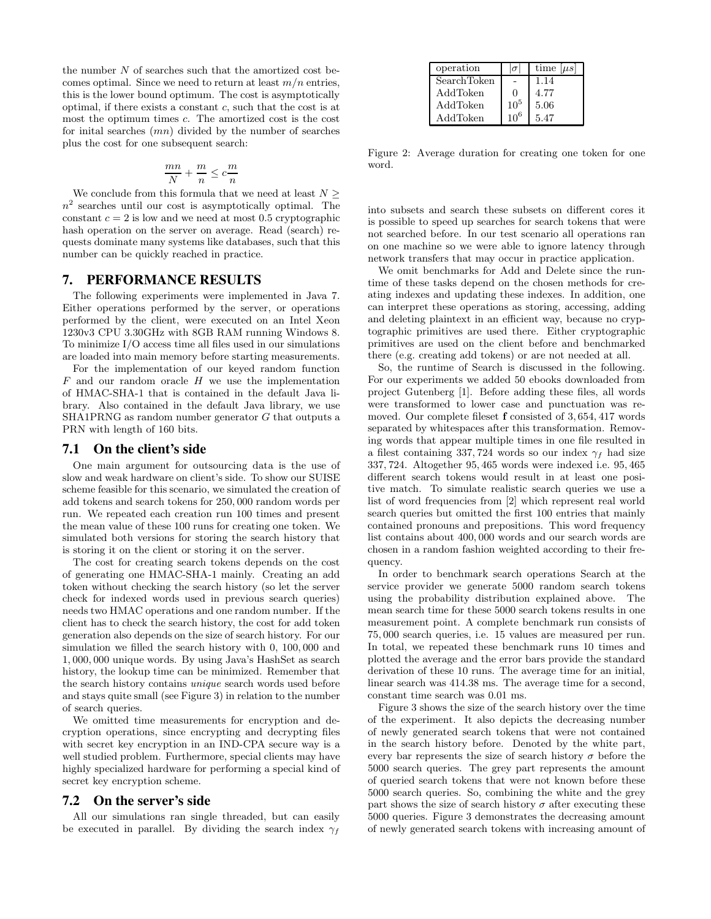the number  $N$  of searches such that the amortized cost becomes optimal. Since we need to return at least  $m/n$  entries, this is the lower bound optimum. The cost is asymptotically optimal, if there exists a constant c, such that the cost is at most the optimum times c. The amortized cost is the cost for initial searches  $(mn)$  divided by the number of searches plus the cost for one subsequent search:

$$
\frac{mn}{N}+\frac{m}{n}\leq c\frac{m}{n}
$$

We conclude from this formula that we need at least  $N \geq$  $n<sup>2</sup>$  searches until our cost is asymptotically optimal. The constant  $c = 2$  is low and we need at most 0.5 cryptographic hash operation on the server on average. Read (search) requests dominate many systems like databases, such that this number can be quickly reached in practice.

## 7. PERFORMANCE RESULTS

The following experiments were implemented in Java 7. Either operations performed by the server, or operations performed by the client, were executed on an Intel Xeon 1230v3 CPU 3.30GHz with 8GB RAM running Windows 8. To minimize I/O access time all files used in our simulations are loaded into main memory before starting measurements.

For the implementation of our keyed random function  $F$  and our random oracle  $H$  we use the implementation of HMAC-SHA-1 that is contained in the default Java library. Also contained in the default Java library, we use SHA1PRNG as random number generator G that outputs a PRN with length of 160 bits.

#### 7.1 On the client's side

One main argument for outsourcing data is the use of slow and weak hardware on client's side. To show our SUISE scheme feasible for this scenario, we simulated the creation of add tokens and search tokens for 250, 000 random words per run. We repeated each creation run 100 times and present the mean value of these 100 runs for creating one token. We simulated both versions for storing the search history that is storing it on the client or storing it on the server.

The cost for creating search tokens depends on the cost of generating one HMAC-SHA-1 mainly. Creating an add token without checking the search history (so let the server check for indexed words used in previous search queries) needs two HMAC operations and one random number. If the client has to check the search history, the cost for add token generation also depends on the size of search history. For our simulation we filled the search history with 0, 100, 000 and 1, 000, 000 unique words. By using Java's HashSet as search history, the lookup time can be minimized. Remember that the search history contains unique search words used before and stays quite small (see Figure 3) in relation to the number of search queries.

We omitted time measurements for encryption and decryption operations, since encrypting and decrypting files with secret key encryption in an IND-CPA secure way is a well studied problem. Furthermore, special clients may have highly specialized hardware for performing a special kind of secret key encryption scheme.

#### 7.2 On the server's side

All our simulations ran single threaded, but can easily be executed in parallel. By dividing the search index  $\gamma_f$ 

| operation   | $\sigma$        | time $ \mu s $ |
|-------------|-----------------|----------------|
| SearchToken |                 | 1.14           |
| AddToken    | $\mathbf{0}$    | 4.77           |
| AddToken    | $10^{5}$        | 5.06           |
| AddToken    | 10 <sup>6</sup> | 5.47           |

Figure 2: Average duration for creating one token for one word.

into subsets and search these subsets on different cores it is possible to speed up searches for search tokens that were not searched before. In our test scenario all operations ran on one machine so we were able to ignore latency through network transfers that may occur in practice application.

We omit benchmarks for Add and Delete since the runtime of these tasks depend on the chosen methods for creating indexes and updating these indexes. In addition, one can interpret these operations as storing, accessing, adding and deleting plaintext in an efficient way, because no cryptographic primitives are used there. Either cryptographic primitives are used on the client before and benchmarked there (e.g. creating add tokens) or are not needed at all.

So, the runtime of Search is discussed in the following. For our experiments we added 50 ebooks downloaded from project Gutenberg [1]. Before adding these files, all words were transformed to lower case and punctuation was removed. Our complete fileset f consisted of 3, 654, 417 words separated by whitespaces after this transformation. Removing words that appear multiple times in one file resulted in a filest containing 337, 724 words so our index  $\gamma_f$  had size 337, 724. Altogether 95, 465 words were indexed i.e. 95, 465 different search tokens would result in at least one positive match. To simulate realistic search queries we use a list of word frequencies from [2] which represent real world search queries but omitted the first 100 entries that mainly contained pronouns and prepositions. This word frequency list contains about 400, 000 words and our search words are chosen in a random fashion weighted according to their frequency.

In order to benchmark search operations Search at the service provider we generate 5000 random search tokens using the probability distribution explained above. The mean search time for these 5000 search tokens results in one measurement point. A complete benchmark run consists of 75, 000 search queries, i.e. 15 values are measured per run. In total, we repeated these benchmark runs 10 times and plotted the average and the error bars provide the standard derivation of these 10 runs. The average time for an initial, linear search was 414.38 ms. The average time for a second, constant time search was 0.01 ms.

Figure 3 shows the size of the search history over the time of the experiment. It also depicts the decreasing number of newly generated search tokens that were not contained in the search history before. Denoted by the white part, every bar represents the size of search history  $\sigma$  before the 5000 search queries. The grey part represents the amount of queried search tokens that were not known before these 5000 search queries. So, combining the white and the grey part shows the size of search history  $\sigma$  after executing these 5000 queries. Figure 3 demonstrates the decreasing amount of newly generated search tokens with increasing amount of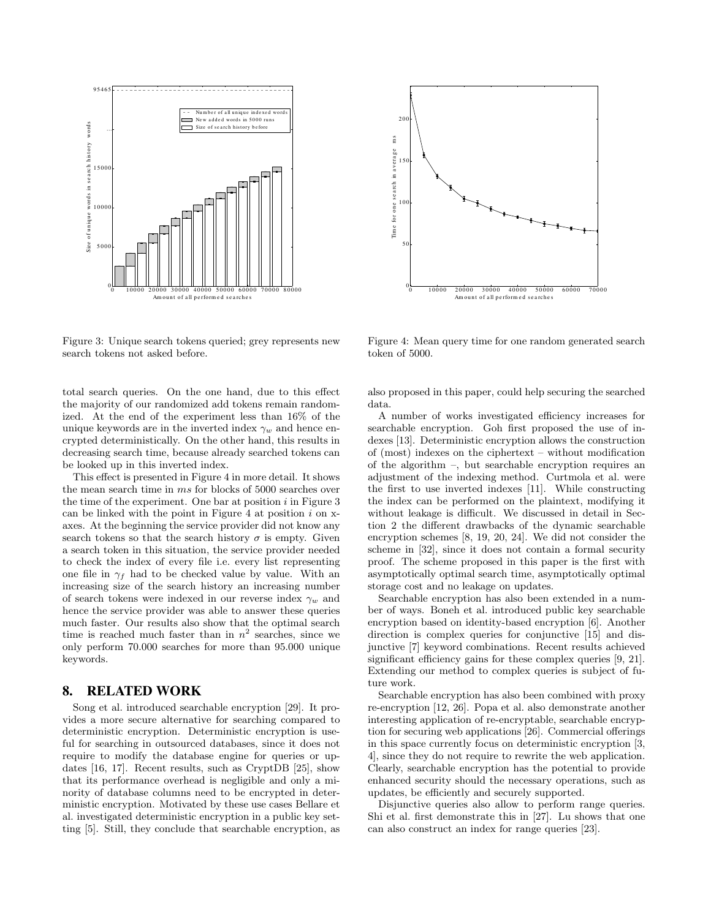



Figure 3: Unique search tokens queried; grey represents new search tokens not asked before.

total search queries. On the one hand, due to this effect the majority of our randomized add tokens remain randomized. At the end of the experiment less than 16% of the unique keywords are in the inverted index  $\gamma_w$  and hence encrypted deterministically. On the other hand, this results in decreasing search time, because already searched tokens can be looked up in this inverted index.

This effect is presented in Figure 4 in more detail. It shows the mean search time in ms for blocks of 5000 searches over the time of the experiment. One bar at position  $i$  in Figure 3 can be linked with the point in Figure 4 at position  $i$  on xaxes. At the beginning the service provider did not know any search tokens so that the search history  $\sigma$  is empty. Given a search token in this situation, the service provider needed to check the index of every file i.e. every list representing one file in  $\gamma_f$  had to be checked value by value. With an increasing size of the search history an increasing number of search tokens were indexed in our reverse index  $\gamma_w$  and hence the service provider was able to answer these queries much faster. Our results also show that the optimal search time is reached much faster than in  $n^2$  searches, since we only perform 70.000 searches for more than 95.000 unique keywords.

### 8. RELATED WORK

Song et al. introduced searchable encryption [29]. It provides a more secure alternative for searching compared to deterministic encryption. Deterministic encryption is useful for searching in outsourced databases, since it does not require to modify the database engine for queries or updates [16, 17]. Recent results, such as CryptDB [25], show that its performance overhead is negligible and only a minority of database columns need to be encrypted in deterministic encryption. Motivated by these use cases Bellare et al. investigated deterministic encryption in a public key setting [5]. Still, they conclude that searchable encryption, as

Figure 4: Mean query time for one random generated search token of 5000.

also proposed in this paper, could help securing the searched data.

A number of works investigated efficiency increases for searchable encryption. Goh first proposed the use of indexes [13]. Deterministic encryption allows the construction of (most) indexes on the ciphertext – without modification of the algorithm –, but searchable encryption requires an adjustment of the indexing method. Curtmola et al. were the first to use inverted indexes [11]. While constructing the index can be performed on the plaintext, modifying it without leakage is difficult. We discussed in detail in Section 2 the different drawbacks of the dynamic searchable encryption schemes [8, 19, 20, 24]. We did not consider the scheme in [32], since it does not contain a formal security proof. The scheme proposed in this paper is the first with asymptotically optimal search time, asymptotically optimal storage cost and no leakage on updates.

Searchable encryption has also been extended in a number of ways. Boneh et al. introduced public key searchable encryption based on identity-based encryption [6]. Another direction is complex queries for conjunctive [15] and disjunctive [7] keyword combinations. Recent results achieved significant efficiency gains for these complex queries [9, 21]. Extending our method to complex queries is subject of future work.

Searchable encryption has also been combined with proxy re-encryption [12, 26]. Popa et al. also demonstrate another interesting application of re-encryptable, searchable encryption for securing web applications [26]. Commercial offerings in this space currently focus on deterministic encryption [3, 4], since they do not require to rewrite the web application. Clearly, searchable encryption has the potential to provide enhanced security should the necessary operations, such as updates, be efficiently and securely supported.

Disjunctive queries also allow to perform range queries. Shi et al. first demonstrate this in [27]. Lu shows that one can also construct an index for range queries [23].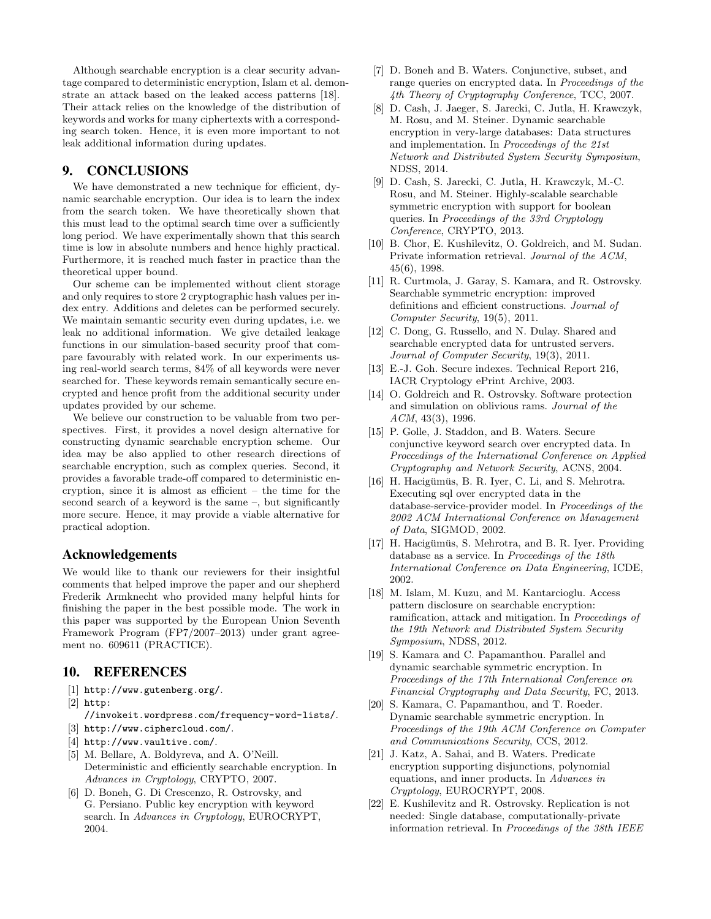Although searchable encryption is a clear security advantage compared to deterministic encryption, Islam et al. demonstrate an attack based on the leaked access patterns [18]. Their attack relies on the knowledge of the distribution of keywords and works for many ciphertexts with a corresponding search token. Hence, it is even more important to not leak additional information during updates.

# 9. CONCLUSIONS

We have demonstrated a new technique for efficient, dynamic searchable encryption. Our idea is to learn the index from the search token. We have theoretically shown that this must lead to the optimal search time over a sufficiently long period. We have experimentally shown that this search time is low in absolute numbers and hence highly practical. Furthermore, it is reached much faster in practice than the theoretical upper bound.

Our scheme can be implemented without client storage and only requires to store 2 cryptographic hash values per index entry. Additions and deletes can be performed securely. We maintain semantic security even during updates, i.e. we leak no additional information. We give detailed leakage functions in our simulation-based security proof that compare favourably with related work. In our experiments using real-world search terms, 84% of all keywords were never searched for. These keywords remain semantically secure encrypted and hence profit from the additional security under updates provided by our scheme.

We believe our construction to be valuable from two perspectives. First, it provides a novel design alternative for constructing dynamic searchable encryption scheme. Our idea may be also applied to other research directions of searchable encryption, such as complex queries. Second, it provides a favorable trade-off compared to deterministic encryption, since it is almost as efficient – the time for the second search of a keyword is the same –, but significantly more secure. Hence, it may provide a viable alternative for practical adoption.

### Acknowledgements

We would like to thank our reviewers for their insightful comments that helped improve the paper and our shepherd Frederik Armknecht who provided many helpful hints for finishing the paper in the best possible mode. The work in this paper was supported by the European Union Seventh Framework Program (FP7/2007–2013) under grant agreement no. 609611 (PRACTICE).

# 10. REFERENCES

- [1] http://www.gutenberg.org/.
- [2] http:
- //invokeit.wordpress.com/frequency-word-lists/.
- [3] http://www.ciphercloud.com/.
- [4] http://www.vaultive.com/.
- [5] M. Bellare, A. Boldyreva, and A. O'Neill. Deterministic and efficiently searchable encryption. In Advances in Cryptology, CRYPTO, 2007.
- [6] D. Boneh, G. Di Crescenzo, R. Ostrovsky, and G. Persiano. Public key encryption with keyword search. In Advances in Cryptology, EUROCRYPT, 2004.
- [7] D. Boneh and B. Waters. Conjunctive, subset, and range queries on encrypted data. In Proceedings of the 4th Theory of Cryptography Conference, TCC, 2007.
- [8] D. Cash, J. Jaeger, S. Jarecki, C. Jutla, H. Krawczyk, M. Rosu, and M. Steiner. Dynamic searchable encryption in very-large databases: Data structures and implementation. In Proceedings of the 21st Network and Distributed System Security Symposium, NDSS, 2014.
- [9] D. Cash, S. Jarecki, C. Jutla, H. Krawczyk, M.-C. Rosu, and M. Steiner. Highly-scalable searchable symmetric encryption with support for boolean queries. In Proceedings of the 33rd Cryptology Conference, CRYPTO, 2013.
- [10] B. Chor, E. Kushilevitz, O. Goldreich, and M. Sudan. Private information retrieval. Journal of the ACM, 45(6), 1998.
- [11] R. Curtmola, J. Garay, S. Kamara, and R. Ostrovsky. Searchable symmetric encryption: improved definitions and efficient constructions. Journal of Computer Security, 19(5), 2011.
- [12] C. Dong, G. Russello, and N. Dulay. Shared and searchable encrypted data for untrusted servers. Journal of Computer Security, 19(3), 2011.
- [13] E.-J. Goh. Secure indexes. Technical Report 216, IACR Cryptology ePrint Archive, 2003.
- [14] O. Goldreich and R. Ostrovsky. Software protection and simulation on oblivious rams. Journal of the ACM, 43(3), 1996.
- [15] P. Golle, J. Staddon, and B. Waters. Secure conjunctive keyword search over encrypted data. In Proccedings of the International Conference on Applied Cryptography and Network Security, ACNS, 2004.
- $[16]$  H. Hacigümüs, B. R. Iver, C. Li, and S. Mehrotra. Executing sql over encrypted data in the database-service-provider model. In Proceedings of the 2002 ACM International Conference on Management of Data, SIGMOD, 2002.
- [17] H. Hacigümüs, S. Mehrotra, and B. R. Iyer. Providing database as a service. In Proceedings of the 18th International Conference on Data Engineering, ICDE, 2002.
- [18] M. Islam, M. Kuzu, and M. Kantarcioglu. Access pattern disclosure on searchable encryption: ramification, attack and mitigation. In Proceedings of the 19th Network and Distributed System Security Symposium, NDSS, 2012.
- [19] S. Kamara and C. Papamanthou. Parallel and dynamic searchable symmetric encryption. In Proceedings of the 17th International Conference on Financial Cryptography and Data Security, FC, 2013.
- [20] S. Kamara, C. Papamanthou, and T. Roeder. Dynamic searchable symmetric encryption. In Proceedings of the 19th ACM Conference on Computer and Communications Security, CCS, 2012.
- [21] J. Katz, A. Sahai, and B. Waters. Predicate encryption supporting disjunctions, polynomial equations, and inner products. In Advances in Cryptology, EUROCRYPT, 2008.
- [22] E. Kushilevitz and R. Ostrovsky. Replication is not needed: Single database, computationally-private information retrieval. In Proceedings of the 38th IEEE